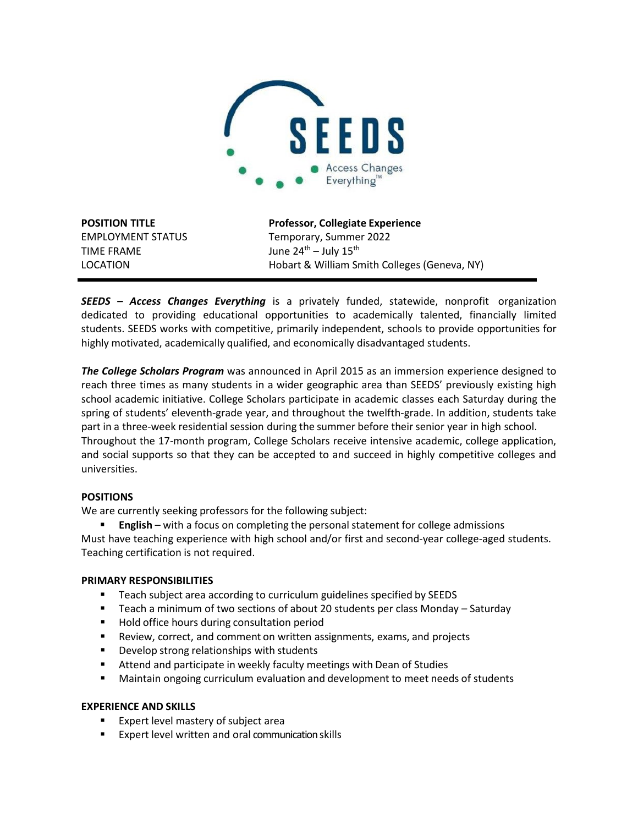

TIME FRAME  $J$ une  $24<sup>th</sup> - July 15<sup>th</sup>$ 

**POSITION TITLE Professor, Collegiate Experience** EMPLOYMENT STATUS Temporary, Summer 2022 LOCATION Hobart & William Smith Colleges (Geneva, NY)

*SEEDS – Access Changes Everything* is a privately funded, statewide, nonprofit organization dedicated to providing educational opportunities to academically talented, financially limited students. SEEDS works with competitive, primarily independent, schools to provide opportunities for highly motivated, academically qualified, and economically disadvantaged students.

*The College Scholars Program* was announced in April 2015 as an immersion experience designed to reach three times as many students in a wider geographic area than SEEDS' previously existing high school academic initiative. College Scholars participate in academic classes each Saturday during the spring of students' eleventh-grade year, and throughout the twelfth-grade. In addition, students take part in a three-week residential session during the summer before their senior year in high school. Throughout the 17-month program, College Scholars receive intensive academic, college application, and social supports so that they can be accepted to and succeed in highly competitive colleges and universities.

# **POSITIONS**

We are currently seeking professors for the following subject:

 **English** – with a focus on completing the personal statement for college admissions Must have teaching experience with high school and/or first and second-year college-aged students. Teaching certification is not required.

# **PRIMARY RESPONSIBILITIES**

- Teach subject area according to curriculum guidelines specified by SEEDS
- Teach a minimum of two sections of about 20 students per class Monday Saturday
- Hold office hours during consultation period
- Review, correct, and comment on written assignments, exams, and projects
- **Develop strong relationships with students**
- **E** Attend and participate in weekly faculty meetings with Dean of Studies
- Maintain ongoing curriculum evaluation and development to meet needs of students

# **EXPERIENCE AND SKILLS**

- Expert level mastery of subject area
- Expert level written and oral communication skills